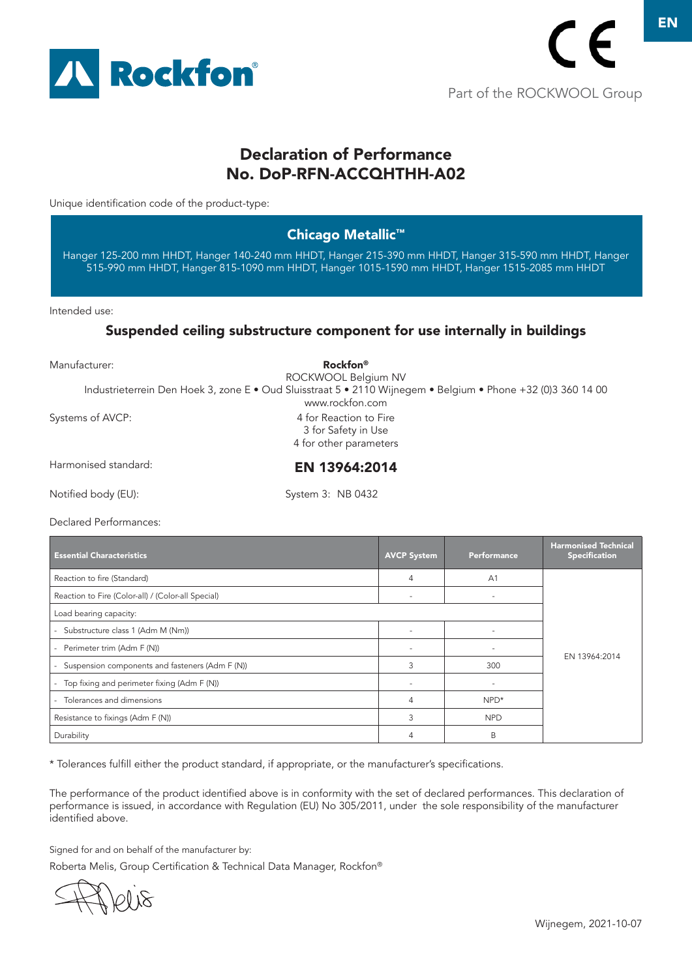

# Declaration of Performance No. DoP-RFN-ACCQHTHH-A02

Unique identification code of the product-type:

### Chicago Metallic™

Hanger 125-200 mm HHDT, Hanger 140-240 mm HHDT, Hanger 215-390 mm HHDT, Hanger 315-590 mm HHDT, Hanger 515-990 mm HHDT, Hanger 815-1090 mm HHDT, Hanger 1015-1590 mm HHDT, Hanger 1515-2085 mm HHDT

Intended use:

#### Suspended ceiling substructure component for use internally in buildings

| Manufacturer:        | Rockfon <sup>®</sup><br>ROCKWOOL Belgium NV                                                                                     |
|----------------------|---------------------------------------------------------------------------------------------------------------------------------|
|                      | Industrieterrein Den Hoek 3, zone E · Oud Sluisstraat 5 · 2110 Wijnegem · Belgium · Phone +32 (0)3 360 14 00<br>www.rockfon.com |
| Systems of AVCP:     | 4 for Reaction to Fire<br>3 for Safety in Use<br>4 for other parameters                                                         |
| Harmonised standard: | EN 13964:2014                                                                                                                   |
| Notified body (EU):  | System 3: NB 0432                                                                                                               |

Declared Performances:

| <b>Essential Characteristics</b>                                        | <b>AVCP System</b> | Performance    | <b>Harmonised Technical</b><br><b>Specification</b> |
|-------------------------------------------------------------------------|--------------------|----------------|-----------------------------------------------------|
| Reaction to fire (Standard)                                             | 4                  | A <sub>1</sub> |                                                     |
| Reaction to Fire (Color-all) / (Color-all Special)                      |                    | ٠              |                                                     |
| Load bearing capacity:                                                  |                    |                |                                                     |
| - Substructure class 1 (Adm M (Nm))                                     |                    |                |                                                     |
| Perimeter trim (Adm F (N))                                              |                    |                | EN 13964:2014                                       |
| Suspension components and fasteners (Adm F (N))<br>$\sim$               | 3                  | 300            |                                                     |
| Top fixing and perimeter fixing (Adm F (N))<br>$\overline{\phantom{0}}$ |                    |                |                                                     |
| Tolerances and dimensions                                               | 4                  | $NPD*$         |                                                     |
| Resistance to fixings (Adm F (N))                                       | 3                  | <b>NPD</b>     |                                                     |
| Durability                                                              |                    | B              |                                                     |

\* Tolerances fulfill either the product standard, if appropriate, or the manufacturer's specifications.

The performance of the product identified above is in conformity with the set of declared performances. This declaration of performance is issued, in accordance with Regulation (EU) No 305/2011, under the sole responsibility of the manufacturer identified above.

Signed for and on behalf of the manufacturer by:

10 IS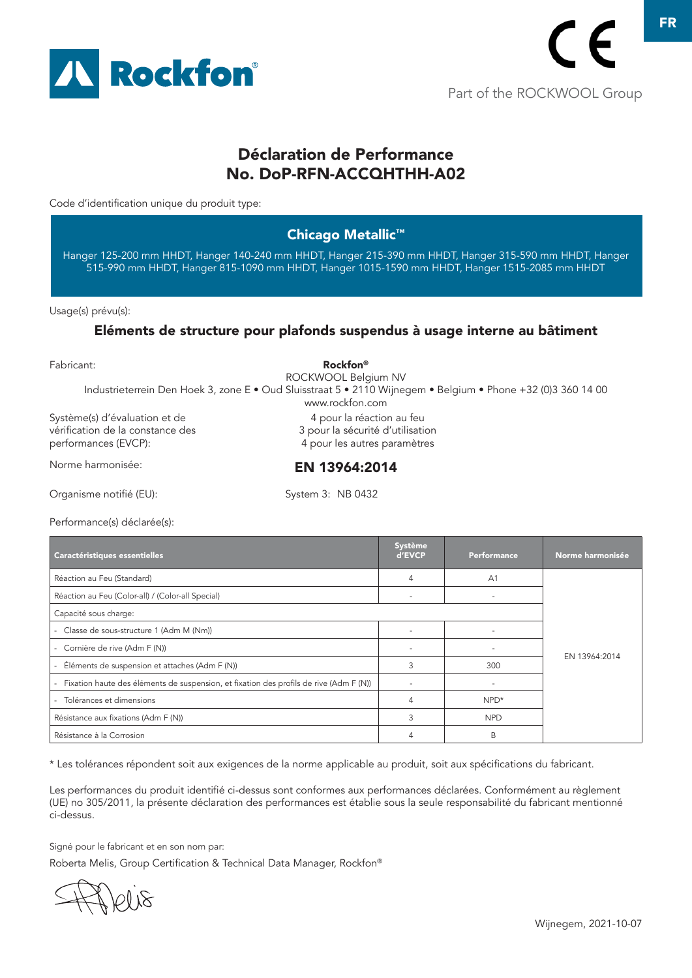

# Déclaration de Performance No. DoP-RFN-ACCQHTHH-A02

Code d'identification unique du produit type:

### Chicago Metallic™

Hanger 125-200 mm HHDT, Hanger 140-240 mm HHDT, Hanger 215-390 mm HHDT, Hanger 315-590 mm HHDT, Hanger 515-990 mm HHDT, Hanger 815-1090 mm HHDT, Hanger 1015-1590 mm HHDT, Hanger 1515-2085 mm HHDT

Usage(s) prévu(s):

#### Eléments de structure pour plafonds suspendus à usage interne au bâtiment

Fabricant:

Système(s) d'évaluation et de vérification de la constance des performances (EVCP): Norme harmonisée: Rockfon® ROCKWOOL Belgium NV Industrieterrein Den Hoek 3, zone E • Oud Sluisstraat 5 • 2110 Wijnegem • Belgium • Phone +32 (0)3 360 14 00 www.rockfon.com 4 pour la réaction au feu 3 pour la sécurité d'utilisation 4 pour les autres paramètres EN 13964:2014

Organisme notifié (EU):

System 3: NB 0432

Performance(s) déclarée(s):

| Caractéristiques essentielles                                                                    | Système<br>d'EVCP | <b>Performance</b> | Norme harmonisée |
|--------------------------------------------------------------------------------------------------|-------------------|--------------------|------------------|
| Réaction au Feu (Standard)                                                                       | 4                 | A <sub>1</sub>     |                  |
| Réaction au Feu (Color-all) / (Color-all Special)                                                |                   |                    |                  |
| Capacité sous charge:                                                                            |                   |                    |                  |
| - Classe de sous-structure 1 (Adm M (Nm))                                                        |                   |                    |                  |
| - Cornière de rive (Adm F (N))                                                                   |                   |                    |                  |
| - Éléments de suspension et attaches (Adm F (N))                                                 | 3                 | 300                | EN 13964:2014    |
| Fixation haute des éléments de suspension, et fixation des profils de rive (Adm F (N))<br>$\sim$ |                   |                    |                  |
| Tolérances et dimensions<br>a.                                                                   | 4                 | $NPD*$             |                  |
| Résistance aux fixations (Adm F (N))                                                             | 3                 | <b>NPD</b>         |                  |
| Résistance à la Corrosion                                                                        | 4                 | B                  |                  |

\* Les tolérances répondent soit aux exigences de la norme applicable au produit, soit aux spécifications du fabricant.

Les performances du produit identifié ci-dessus sont conformes aux performances déclarées. Conformément au règlement (UE) no 305/2011, la présente déclaration des performances est établie sous la seule responsabilité du fabricant mentionné ci-dessus.

Signé pour le fabricant et en son nom par:

81 IQ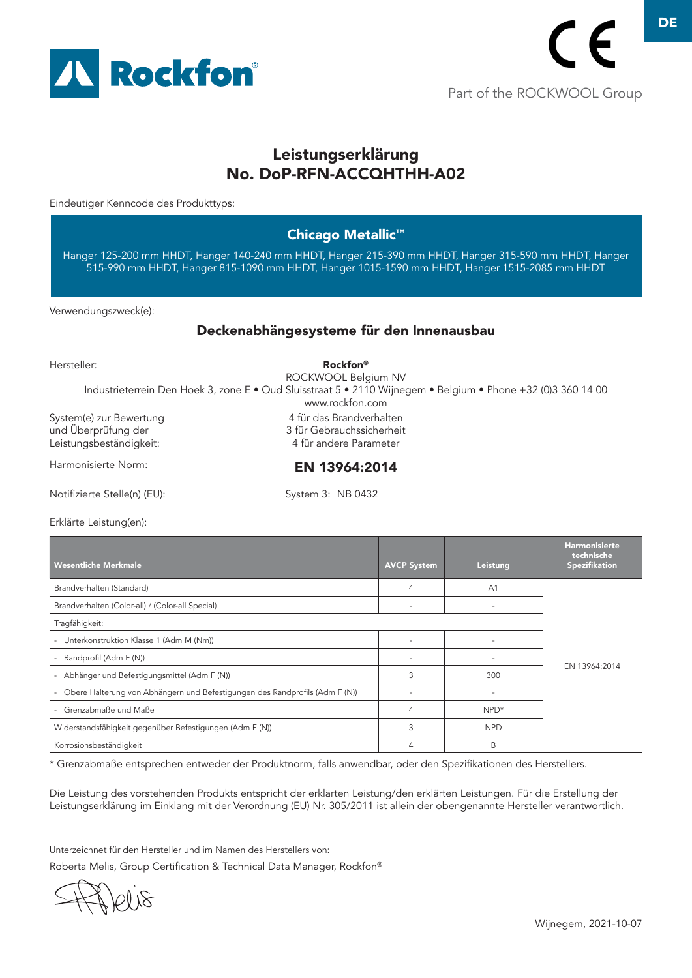

# Leistungserklärung No. DoP-RFN-ACCQHTHH-A02

Eindeutiger Kenncode des Produkttyps:

### Chicago Metallic™

Hanger 125-200 mm HHDT, Hanger 140-240 mm HHDT, Hanger 215-390 mm HHDT, Hanger 315-590 mm HHDT, Hanger 515-990 mm HHDT, Hanger 815-1090 mm HHDT, Hanger 1015-1590 mm HHDT, Hanger 1515-2085 mm HHDT

Verwendungszweck(e):

#### Deckenabhängesysteme für den Innenausbau

Hersteller:

System(e) zur Bewertung und Überprüfung der Leistungsbeständigkeit: Harmonisierte Norm: Notifizierte Stelle(n) (EU): System 3: NB 0432 Rockfon® ROCKWOOL Belgium NV Industrieterrein Den Hoek 3, zone E • Oud Sluisstraat 5 • 2110 Wijnegem • Belgium • Phone +32 (0)3 360 14 00 www.rockfon.com 4 für das Brandverhalten 3 für Gebrauchssicherheit 4 für andere Parameter EN 13964:2014

Erklärte Leistung(en):

| <b>Wesentliche Merkmale</b>                                                 | <b>AVCP System</b> | Leistung       | <b>Harmonisierte</b><br>technische<br>Spezifikation |
|-----------------------------------------------------------------------------|--------------------|----------------|-----------------------------------------------------|
| Brandverhalten (Standard)                                                   | 4                  | A <sub>1</sub> |                                                     |
| Brandverhalten (Color-all) / (Color-all Special)                            |                    |                |                                                     |
| Tragfähigkeit:                                                              |                    |                |                                                     |
| Unterkonstruktion Klasse 1 (Adm M (Nm))                                     |                    |                |                                                     |
| Randprofil (Adm F (N))                                                      |                    |                | EN 13964:2014                                       |
| Abhänger und Befestigungsmittel (Adm F (N))                                 | 3                  | 300            |                                                     |
| Obere Halterung von Abhängern und Befestigungen des Randprofils (Adm F (N)) |                    | ٠              |                                                     |
| Grenzabmaße und Maße                                                        | 4                  | $NPD*$         |                                                     |
| Widerstandsfähigkeit gegenüber Befestigungen (Adm F (N))                    | 3                  | <b>NPD</b>     |                                                     |
| Korrosionsbeständigkeit                                                     | 4                  | B              |                                                     |

\* Grenzabmaße entsprechen entweder der Produktnorm, falls anwendbar, oder den Spezifikationen des Herstellers.

Die Leistung des vorstehenden Produkts entspricht der erklärten Leistung/den erklärten Leistungen. Für die Erstellung der Leistungserklärung im Einklang mit der Verordnung (EU) Nr. 305/2011 ist allein der obengenannte Hersteller verantwortlich.

Unterzeichnet für den Hersteller und im Namen des Herstellers von: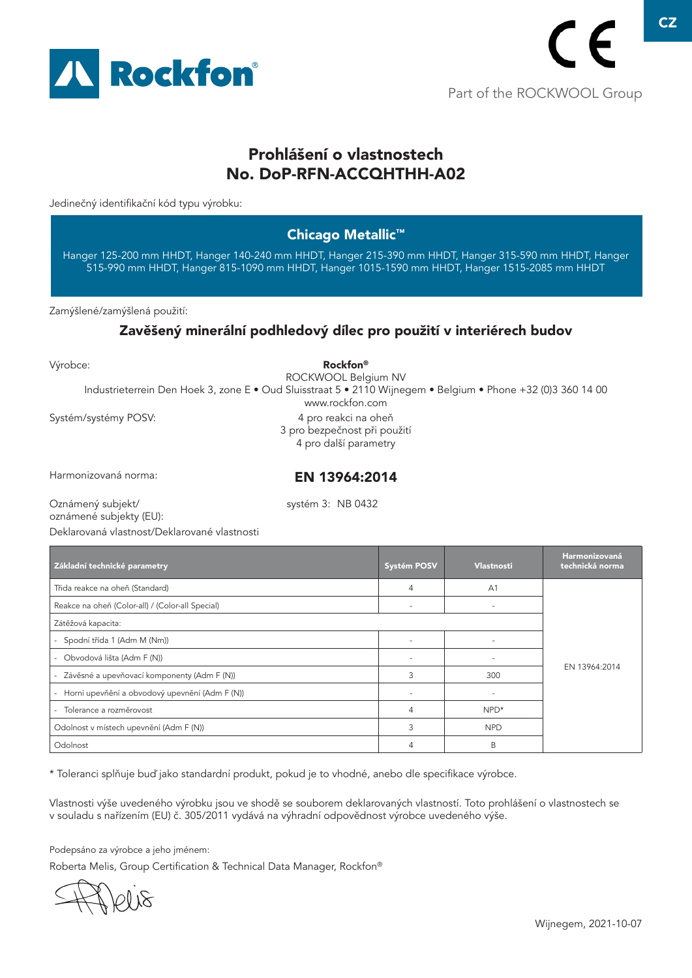

# Prohlášení o vlastnostech No. DoP-RFN-ACCQHTHH-A02

Jedinečný identifikační kód typu výrobku:

### Chicago Metallic™

Hanger 125-200 mm HHDT, Hanger 140-240 mm HHDT, Hanger 215-390 mm HHDT, Hanger 315-590 mm HHDT, Hanger 515-990 mm HHDT, Hanger 815-1090 mm HHDT, Hanger 1015-1590 mm HHDT, Hanger 1515-2085 mm HHDT

Zamýšlené/zamýšlená použití:

### Zavěšený minerální podhledový dílec pro použití v interiérech budov

Výrobce:

Systém/systémy POSV: Rockfon® ROCKWOOL Belgium NV Industrieterrein Den Hoek 3, zone E • Oud Sluisstraat 5 • 2110 Wijnegem • Belgium • Phone +32 (0)3 360 14 00 www.rockfon.com 4 pro reakci na oheň 3 pro bezpečnost při použití 4 pro další parametry

Harmonizovaná norma:

EN 13964:2014

Oznámený subjekt/ oznámené subjekty (EU): systém 3: NB 0432

Deklarovaná vlastnost/Deklarované vlastnosti

| Základní technické parametry                                               | Systém POSV              | <b>Vlastnosti</b>        | <b>Harmonizovaná</b><br>technická norma |
|----------------------------------------------------------------------------|--------------------------|--------------------------|-----------------------------------------|
| Třida reakce na oheň (Standard)                                            | 4                        | A <sub>1</sub>           |                                         |
| Reakce na oheň (Color-all) / (Color-all Special)                           | $\overline{\phantom{a}}$ | $\overline{\phantom{a}}$ |                                         |
| Zátěžová kapacita:                                                         |                          |                          |                                         |
| Spodní třída 1 (Adm M (Nm))                                                |                          |                          | EN 13964:2014                           |
| - Obvodová lišta (Adm F (N))                                               |                          |                          |                                         |
| Závěsné a upevňovací komponenty (Adm F (N))                                | 3                        | 300                      |                                         |
| Horní upevňění a obvodový upevnění (Adm F (N))<br>$\overline{\phantom{0}}$ |                          | ٠                        |                                         |
| - Tolerance a rozměrovost                                                  | $\overline{4}$           | $NPD*$                   |                                         |
| Odolnost v místech upevnění (Adm F (N))                                    | 3                        | <b>NPD</b>               |                                         |
| Odolnost                                                                   | 4                        | B                        |                                         |

\* Toleranci splňuje buď jako standardní produkt, pokud je to vhodné, anebo dle specifikace výrobce.

Vlastnosti výše uvedeného výrobku jsou ve shodě se souborem deklarovaných vlastností. Toto prohlášení o vlastnostech se v souladu s nařízením (EU) č. 305/2011 vydává na výhradní odpovědnost výrobce uvedeného výše.

Podepsáno za výrobce a jeho jménem: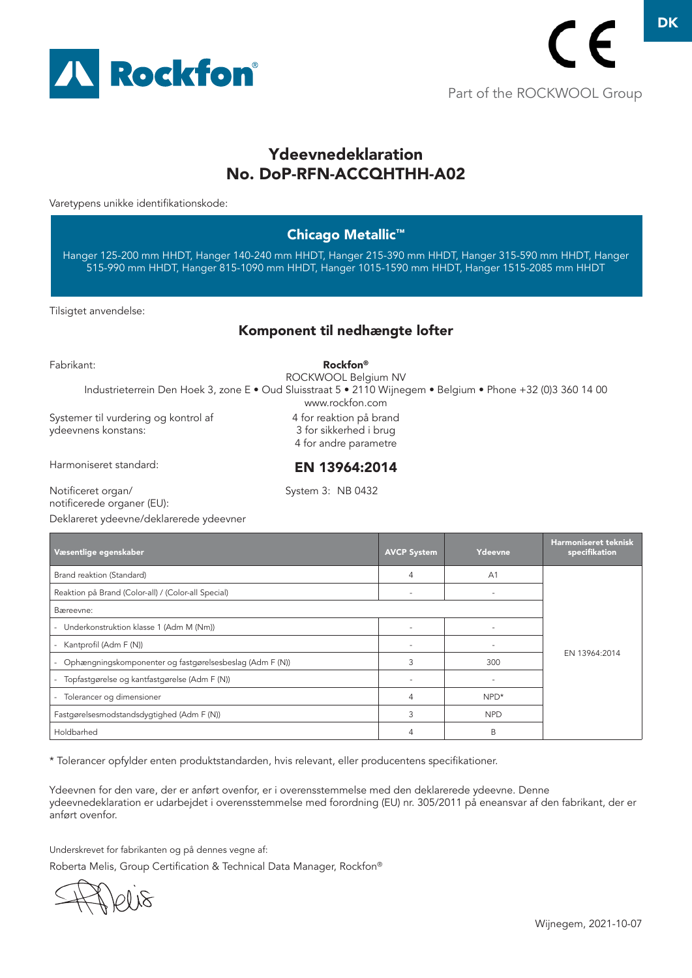

# Ydeevnedeklaration No. DoP-RFN-ACCQHTHH-A02

Varetypens unikke identifikationskode:

### Chicago Metallic™

Hanger 125-200 mm HHDT, Hanger 140-240 mm HHDT, Hanger 215-390 mm HHDT, Hanger 315-590 mm HHDT, Hanger 515-990 mm HHDT, Hanger 815-1090 mm HHDT, Hanger 1015-1590 mm HHDT, Hanger 1515-2085 mm HHDT

Tilsigtet anvendelse:

#### Komponent til nedhængte lofter

Fabrikant:

Systemer til vurdering og kontrol af ydeevnens konstans: Rockfon® ROCKWOOL Belgium NV Industrieterrein Den Hoek 3, zone E • Oud Sluisstraat 5 • 2110 Wijnegem • Belgium • Phone +32 (0)3 360 14 00 www.rockfon.com 4 for reaktion på brand 3 for sikkerhed i brug 4 for andre parametre EN 13964:2014

Harmoniseret standard:

System 3: NB 0432

Notificeret organ/ notificerede organer (EU):

Deklareret ydeevne/deklarerede ydeevner

| Væsentlige egenskaber                                               | <b>AVCP System</b> | Ydeevne                  | <b>Harmoniseret teknisk</b><br>specifikation |
|---------------------------------------------------------------------|--------------------|--------------------------|----------------------------------------------|
| Brand reaktion (Standard)                                           | $\overline{4}$     | A <sub>1</sub>           |                                              |
| Reaktion på Brand (Color-all) / (Color-all Special)                 |                    | $\overline{\phantom{m}}$ |                                              |
| Bæreevne:                                                           |                    |                          |                                              |
| Underkonstruktion klasse 1 (Adm M (Nm))<br>$\overline{\phantom{0}}$ |                    | -                        |                                              |
| Kantprofil (Adm F (N))<br>Ξ.                                        |                    |                          | EN 13964:2014                                |
| Ophængningskomponenter og fastgørelsesbeslag (Adm F (N))            | 3                  | 300                      |                                              |
| Topfastgørelse og kantfastgørelse (Adm F (N))                       |                    | $\overline{\phantom{a}}$ |                                              |
| Tolerancer og dimensioner<br>Ξ.                                     | 4                  | $NPD*$                   |                                              |
| Fastgørelsesmodstandsdygtighed (Adm F (N))                          | 3                  | <b>NPD</b>               |                                              |
| Holdbarhed                                                          | 4                  | B                        |                                              |

\* Tolerancer opfylder enten produktstandarden, hvis relevant, eller producentens specifikationer.

Ydeevnen for den vare, der er anført ovenfor, er i overensstemmelse med den deklarerede ydeevne. Denne ydeevnedeklaration er udarbejdet i overensstemmelse med forordning (EU) nr. 305/2011 på eneansvar af den fabrikant, der er anført ovenfor.

Underskrevet for fabrikanten og på dennes vegne af: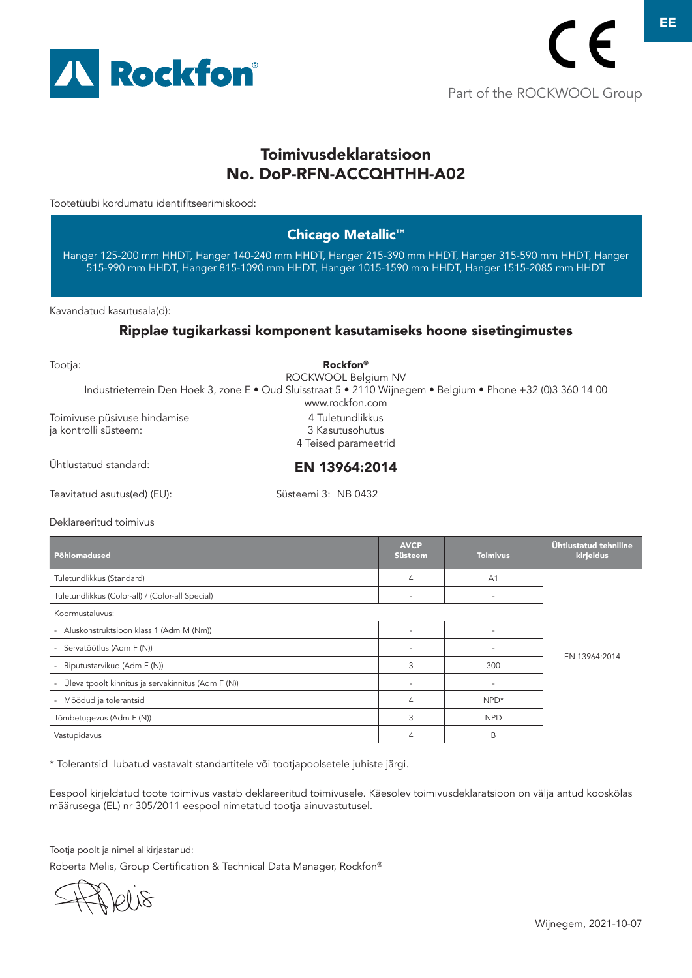

# Toimivusdeklaratsioon No. DoP-RFN-ACCQHTHH-A02

Tootetüübi kordumatu identifitseerimiskood:

#### Chicago Metallic™

Hanger 125-200 mm HHDT, Hanger 140-240 mm HHDT, Hanger 215-390 mm HHDT, Hanger 315-590 mm HHDT, Hanger 515-990 mm HHDT, Hanger 815-1090 mm HHDT, Hanger 1015-1590 mm HHDT, Hanger 1515-2085 mm HHDT

Kavandatud kasutusala(d):

#### Ripplae tugikarkassi komponent kasutamiseks hoone sisetingimustes

| Tootja:                                               | <b>Rockfon</b> <sup>®</sup><br>ROCKWOOL Belgium NV                                                                              |
|-------------------------------------------------------|---------------------------------------------------------------------------------------------------------------------------------|
|                                                       | Industrieterrein Den Hoek 3, zone E · Oud Sluisstraat 5 · 2110 Wijnegem · Belgium · Phone +32 (0)3 360 14 00<br>www.rockfon.com |
| Toimivuse püsivuse hindamise<br>ja kontrolli süsteem: | 4 Tuletundlikkus<br>3 Kasutusohutus<br>4 Teised parameetrid                                                                     |
| Ühtlustatud standard:                                 | EN 13964:2014                                                                                                                   |
| Teavitatud asutus(ed) (EU):                           | Süsteemi 3: NB 0432                                                                                                             |

Deklareeritud toimivus

| Põhiomadused                                            | <b>AVCP</b><br>Süsteem   | <b>Toimivus</b>          | Ühtlustatud tehniline<br>kirjeldus |
|---------------------------------------------------------|--------------------------|--------------------------|------------------------------------|
| Tuletundlikkus (Standard)                               | 4                        | A <sub>1</sub>           |                                    |
| Tuletundlikkus (Color-all) / (Color-all Special)        | $\overline{\phantom{m}}$ | $\overline{\phantom{m}}$ |                                    |
| Koormustaluvus:                                         |                          |                          |                                    |
| - Aluskonstruktsioon klass 1 (Adm M (Nm))               | $\overline{\phantom{m}}$ |                          |                                    |
| Servatöötlus (Adm F (N))<br>$\sim$                      |                          |                          | EN 13964:2014                      |
| Riputustarvikud (Adm F (N))<br>$\overline{\phantom{0}}$ | 3                        | 300                      |                                    |
| Ülevaltpoolt kinnitus ja servakinnitus (Adm F (N))      |                          |                          |                                    |
| Mõõdud ja tolerantsid                                   | $\overline{4}$           | NPD*                     |                                    |
| Tõmbetugevus (Adm F (N))                                | 3                        | <b>NPD</b>               |                                    |
| Vastupidavus                                            | $\overline{4}$           | B                        |                                    |

\* Tolerantsid lubatud vastavalt standartitele või tootjapoolsetele juhiste järgi.

Eespool kirjeldatud toote toimivus vastab deklareeritud toimivusele. Käesolev toimivusdeklaratsioon on välja antud kooskõlas määrusega (EL) nr 305/2011 eespool nimetatud tootja ainuvastutusel.

Tootja poolt ja nimel allkirjastanud:

10 IS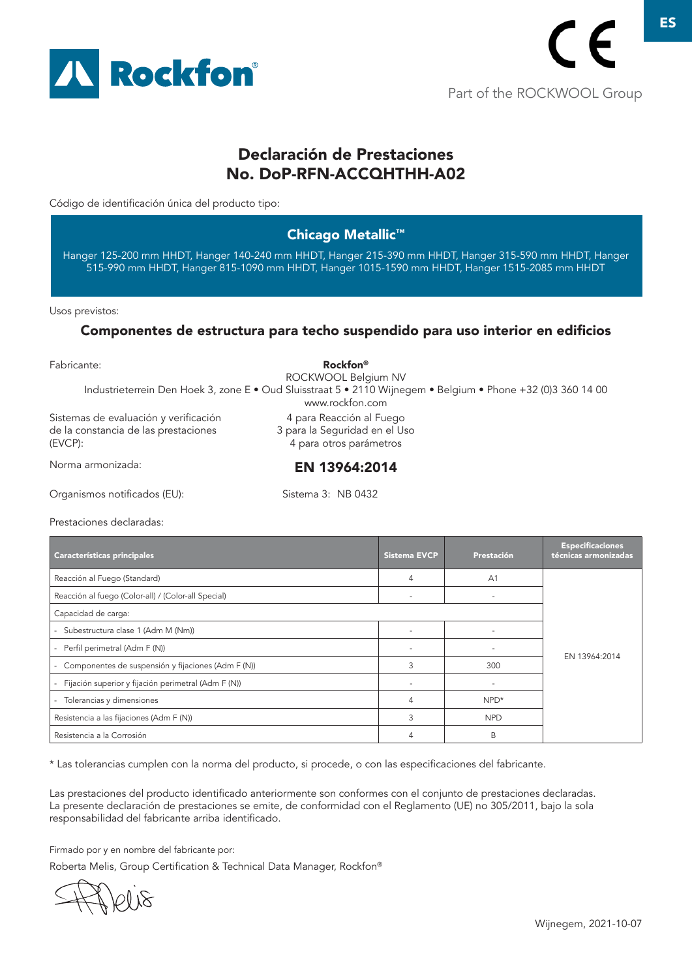

# Declaración de Prestaciones No. DoP-RFN-ACCQHTHH-A02

Código de identificación única del producto tipo:

### Chicago Metallic™

Hanger 125-200 mm HHDT, Hanger 140-240 mm HHDT, Hanger 215-390 mm HHDT, Hanger 315-590 mm HHDT, Hanger 515-990 mm HHDT, Hanger 815-1090 mm HHDT, Hanger 1015-1590 mm HHDT, Hanger 1515-2085 mm HHDT

Usos previstos:

#### Componentes de estructura para techo suspendido para uso interior en edificios

| Fabricante:                                                                              | <b>Rockfon</b> <sup>®</sup><br>ROCKWOOL Belgium NV                                                                              |  |
|------------------------------------------------------------------------------------------|---------------------------------------------------------------------------------------------------------------------------------|--|
|                                                                                          | Industrieterrein Den Hoek 3, zone E · Oud Sluisstraat 5 · 2110 Wijnegem · Belgium · Phone +32 (0)3 360 14 00<br>www.rockfon.com |  |
| Sistemas de evaluación y verificación<br>de la constancia de las prestaciones<br>(EVCP): | 4 para Reacción al Fuego<br>3 para la Seguridad en el Uso<br>4 para otros parámetros                                            |  |
| Norma armonizada:                                                                        | EN 13964:2014                                                                                                                   |  |
| Organismos notificados (EU):                                                             | Sistema 3: NB 0432                                                                                                              |  |

Prestaciones declaradas:

| Características principales                                                    | <b>Sistema EVCP</b> | Prestación     | <b>Especificaciones</b><br>técnicas armonizadas |
|--------------------------------------------------------------------------------|---------------------|----------------|-------------------------------------------------|
| Reacción al Fuego (Standard)                                                   | 4                   | A <sub>1</sub> |                                                 |
| Reacción al fuego (Color-all) / (Color-all Special)                            |                     |                |                                                 |
| Capacidad de carga:                                                            |                     |                |                                                 |
| - Subestructura clase 1 (Adm M (Nm))                                           |                     |                |                                                 |
| Perfil perimetral (Adm F (N))                                                  |                     |                |                                                 |
| Componentes de suspensión y fijaciones (Adm F (N))<br>$\overline{\phantom{a}}$ | 3                   | 300            | EN 13964:2014                                   |
| Fijación superior y fijación perimetral (Adm F (N))                            |                     |                |                                                 |
| Tolerancias y dimensiones                                                      | 4                   | $NPD*$         |                                                 |
| Resistencia a las fijaciones (Adm F (N))                                       | 3                   | <b>NPD</b>     |                                                 |
| Resistencia a la Corrosión                                                     | 4                   | B              |                                                 |

\* Las tolerancias cumplen con la norma del producto, si procede, o con las especificaciones del fabricante.

Las prestaciones del producto identificado anteriormente son conformes con el conjunto de prestaciones declaradas. La presente declaración de prestaciones se emite, de conformidad con el Reglamento (UE) no 305/2011, bajo la sola responsabilidad del fabricante arriba identificado.

Firmado por y en nombre del fabricante por:

 $100\,\mathrm{K}$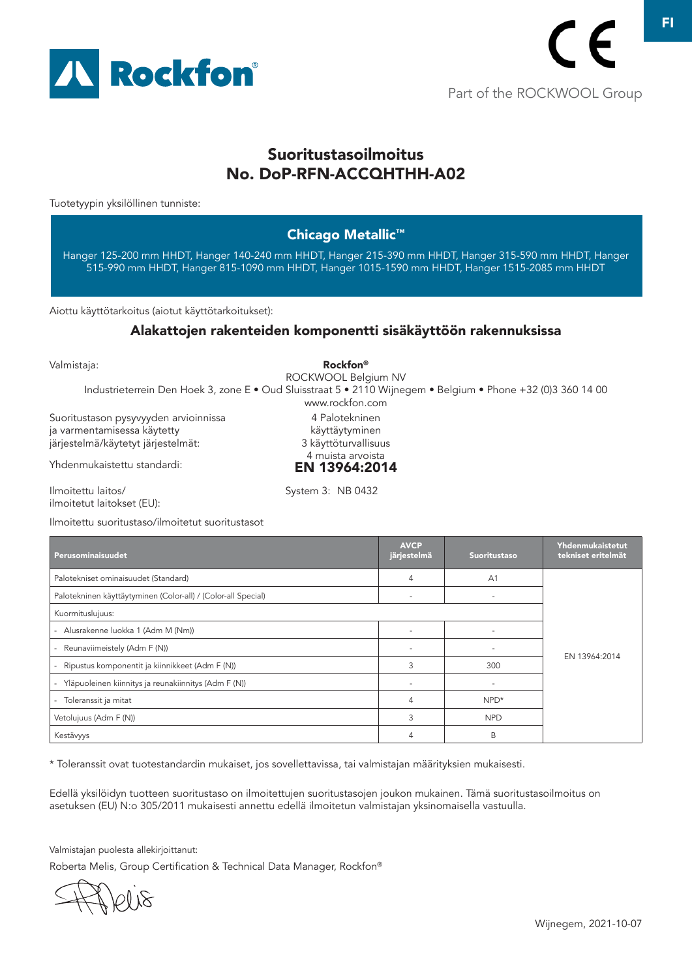

FI

# Suoritustasoilmoitus No. DoP-RFN-ACCQHTHH-A02

Tuotetyypin yksilöllinen tunniste:

### Chicago Metallic™

Hanger 125-200 mm HHDT, Hanger 140-240 mm HHDT, Hanger 215-390 mm HHDT, Hanger 315-590 mm HHDT, Hanger 515-990 mm HHDT, Hanger 815-1090 mm HHDT, Hanger 1015-1590 mm HHDT, Hanger 1515-2085 mm HHDT

Aiottu käyttötarkoitus (aiotut käyttötarkoitukset):

#### Alakattojen rakenteiden komponentti sisäkäyttöön rakennuksissa

Valmistaja:

Suoritustason pysyvyyden arvioinnissa Rockfon® ROCKWOOL Belgium NV Industrieterrein Den Hoek 3, zone E • Oud Sluisstraat 5 • 2110 Wijnegem • Belgium • Phone +32 (0)3 360 14 00 www.rockfon.com 4 Palotekninen

ja varmentamisessa käytetty järjestelmä/käytetyt järjestelmät:

Ilmoitettu suoritustaso/ilmoitetut suoritustasot

Yhdenmukaistettu standardi:

käyttäytyminen 3 käyttöturvallisuus 4 muista arvoista EN 13964:2014

System 3: NB 0432

Ilmoitettu laitos/ ilmoitetut laitokset (EU):

| Perusominaisuudet                                             | <b>AVCP</b><br>järjestelmä | <b>Suoritustaso</b>      | Yhdenmukaistetut<br>tekniset eritelmät |
|---------------------------------------------------------------|----------------------------|--------------------------|----------------------------------------|
| Palotekniset ominaisuudet (Standard)                          | $\overline{4}$             | A <sub>1</sub>           |                                        |
| Palotekninen käyttäytyminen (Color-all) / (Color-all Special) | ٠                          |                          |                                        |
| Kuormituslujuus:                                              |                            |                          |                                        |
| - Alusrakenne luokka 1 (Adm M (Nm))                           |                            |                          |                                        |
| - Reunaviimeistely (Adm F (N))                                |                            |                          |                                        |
| - Ripustus komponentit ja kiinnikkeet (Adm F (N))             | 3                          | 300                      | EN 13964:2014                          |
| - Yläpuoleinen kiinnitys ja reunakiinnitys (Adm F (N))        |                            | $\overline{\phantom{a}}$ |                                        |
| - Toleranssit ja mitat                                        | 4                          | NPD*                     |                                        |
| Vetolujuus (Adm F (N))                                        | 3                          | <b>NPD</b>               |                                        |
| Kestävyys                                                     | 4                          | B                        |                                        |

\* Toleranssit ovat tuotestandardin mukaiset, jos sovellettavissa, tai valmistajan määrityksien mukaisesti.

Edellä yksilöidyn tuotteen suoritustaso on ilmoitettujen suoritustasojen joukon mukainen. Tämä suoritustasoilmoitus on asetuksen (EU) N:o 305/2011 mukaisesti annettu edellä ilmoitetun valmistajan yksinomaisella vastuulla.

Valmistajan puolesta allekirjoittanut:

Roberta Melis, Group Certification & Technical Data Manager, Rockfon®

Wijnegem, 2021-10-07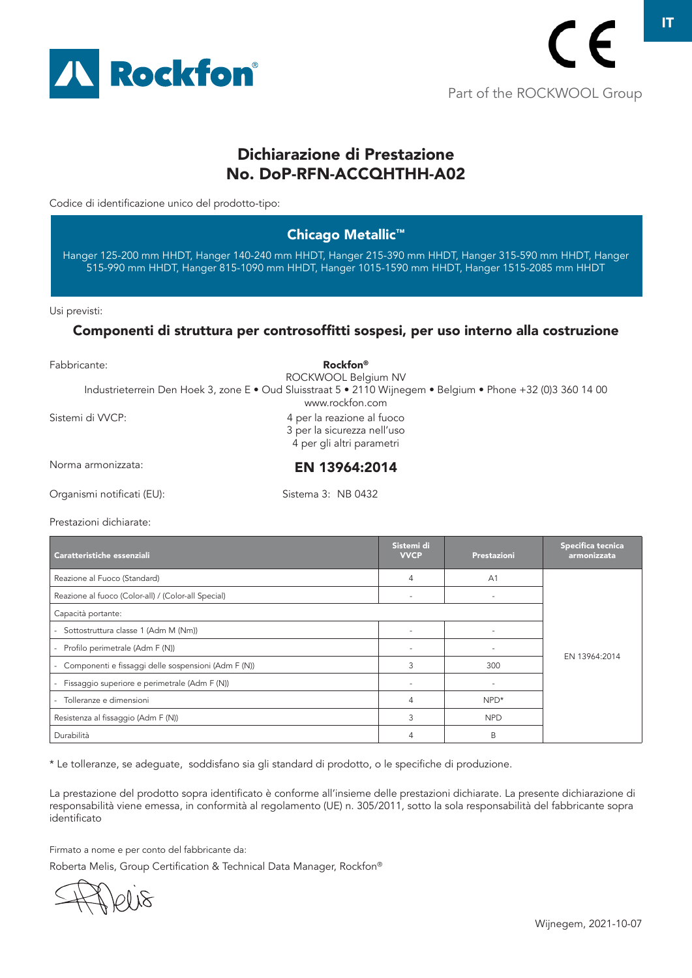

IT

# Dichiarazione di Prestazione No. DoP-RFN-ACCQHTHH-A02

Codice di identificazione unico del prodotto-tipo:

### Chicago Metallic™

Hanger 125-200 mm HHDT, Hanger 140-240 mm HHDT, Hanger 215-390 mm HHDT, Hanger 315-590 mm HHDT, Hanger 515-990 mm HHDT, Hanger 815-1090 mm HHDT, Hanger 1015-1590 mm HHDT, Hanger 1515-2085 mm HHDT

Usi previsti:

#### Componenti di struttura per controsoffitti sospesi, per uso interno alla costruzione

| Fabbricante:               | Rockfon <sup>®</sup><br>ROCKWOOL Belgium NV                                                                                     |
|----------------------------|---------------------------------------------------------------------------------------------------------------------------------|
|                            | Industrieterrein Den Hoek 3, zone E • Oud Sluisstraat 5 • 2110 Wijnegem • Belgium • Phone +32 (0)3 360 14 00<br>www.rockfon.com |
| Sistemi di VVCP:           | 4 per la reazione al fuoco<br>3 per la sicurezza nell'uso<br>4 per gli altri parametri                                          |
| Norma armonizzata:         | EN 13964:2014                                                                                                                   |
| Organismi notificati (EU): | Sistema 3: NB 0432                                                                                                              |

Prestazioni dichiarate:

| Caratteristiche essenziali                                    | Sistemi di<br><b>VVCP</b> | Prestazioni    | Specifica tecnica<br>armonizzata |
|---------------------------------------------------------------|---------------------------|----------------|----------------------------------|
| Reazione al Fuoco (Standard)                                  | 4                         | A <sub>1</sub> |                                  |
| Reazione al fuoco (Color-all) / (Color-all Special)           |                           | ٠              |                                  |
| Capacità portante:                                            |                           |                |                                  |
| - Sottostruttura classe 1 (Adm M (Nm))                        |                           |                |                                  |
| Profilo perimetrale (Adm F (N))                               |                           |                |                                  |
| Componenti e fissaggi delle sospensioni (Adm F (N))<br>$\sim$ | 3                         | 300            | EN 13964:2014                    |
| Fissaggio superiore e perimetrale (Adm F (N))                 |                           |                |                                  |
| Tolleranze e dimensioni                                       | 4                         | NPD*           |                                  |
| Resistenza al fissaggio (Adm F (N))                           | 3                         | <b>NPD</b>     |                                  |
| Durabilità                                                    |                           | B              |                                  |

\* Le tolleranze, se adeguate, soddisfano sia gli standard di prodotto, o le specifiche di produzione.

La prestazione del prodotto sopra identificato è conforme all'insieme delle prestazioni dichiarate. La presente dichiarazione di responsabilità viene emessa, in conformità al regolamento (UE) n. 305/2011, sotto la sola responsabilità del fabbricante sopra identificato

Firmato a nome e per conto del fabbricante da:

 $100\,\mathrm{K}$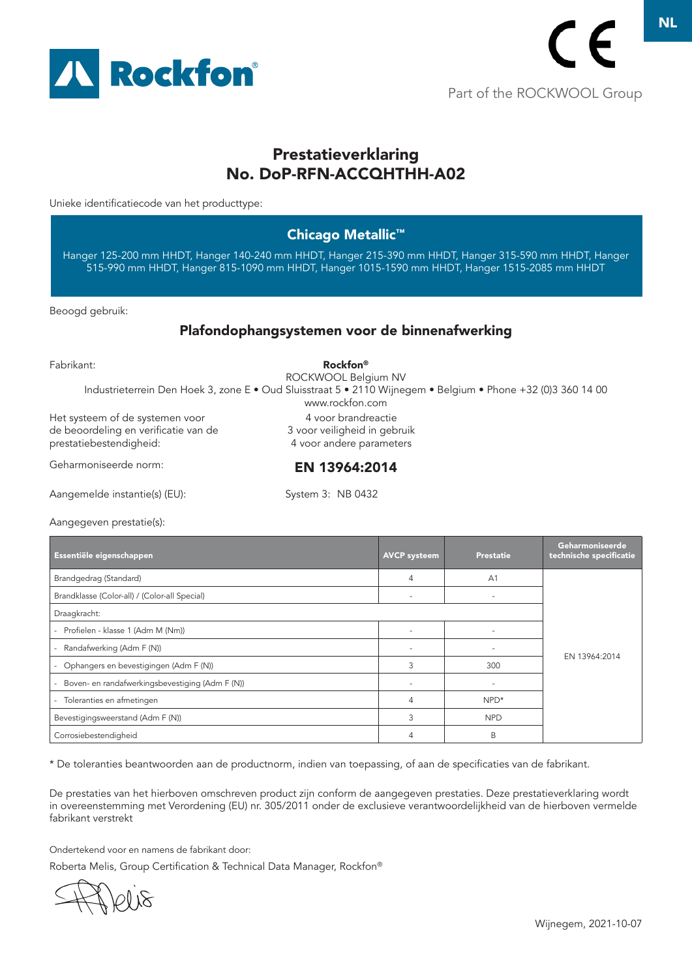

# Prestatieverklaring No. DoP-RFN-ACCQHTHH-A02

Unieke identificatiecode van het producttype:

#### Chicago Metallic™

Hanger 125-200 mm HHDT, Hanger 140-240 mm HHDT, Hanger 215-390 mm HHDT, Hanger 315-590 mm HHDT, Hanger 515-990 mm HHDT, Hanger 815-1090 mm HHDT, Hanger 1015-1590 mm HHDT, Hanger 1515-2085 mm HHDT

Beoogd gebruik:

#### Plafondophangsystemen voor de binnenafwerking

| Fabrikant:                                                                                         | <b>Rockfon</b> <sup>®</sup><br>ROCKWOOL Belgium NV                                                                              |
|----------------------------------------------------------------------------------------------------|---------------------------------------------------------------------------------------------------------------------------------|
|                                                                                                    | Industrieterrein Den Hoek 3, zone E · Oud Sluisstraat 5 · 2110 Wijnegem · Belgium · Phone +32 (0)3 360 14 00<br>www.rockfon.com |
| Het systeem of de systemen voor<br>de beoordeling en verificatie van de<br>prestatiebestendigheid: | 4 voor brandreactie<br>3 voor veiligheid in gebruik<br>4 voor andere parameters                                                 |
| Geharmoniseerde norm:                                                                              | EN 13964:2014                                                                                                                   |
| Aangemelde instantie(s) (EU):                                                                      | System 3: NB 0432                                                                                                               |

System 3: NB 0432

Aangegeven prestatie(s):

| Essentiële eigenschappen                                      | <b>AVCP</b> systeem | <b>Prestatie</b> | Geharmoniseerde<br>technische specificatie |
|---------------------------------------------------------------|---------------------|------------------|--------------------------------------------|
| Brandgedrag (Standard)                                        | $\overline{4}$      | A <sub>1</sub>   |                                            |
| Brandklasse (Color-all) / (Color-all Special)                 |                     |                  |                                            |
| Draagkracht:                                                  |                     |                  |                                            |
| Profielen - klasse 1 (Adm M (Nm))<br>$\overline{\phantom{a}}$ |                     |                  |                                            |
| Randafwerking (Adm F (N))                                     |                     |                  |                                            |
| Ophangers en bevestigingen (Adm F (N))                        | 3                   | 300              | EN 13964:2014                              |
| Boven- en randafwerkingsbevestiging (Adm F (N))               |                     |                  |                                            |
| Toleranties en afmetingen                                     | 4                   | $NPD*$           |                                            |
| Bevestigingsweerstand (Adm F (N))                             | 3                   | <b>NPD</b>       |                                            |
| Corrosiebestendigheid                                         |                     | B                |                                            |

\* De toleranties beantwoorden aan de productnorm, indien van toepassing, of aan de specificaties van de fabrikant.

De prestaties van het hierboven omschreven product zijn conform de aangegeven prestaties. Deze prestatieverklaring wordt in overeenstemming met Verordening (EU) nr. 305/2011 onder de exclusieve verantwoordelijkheid van de hierboven vermelde fabrikant verstrekt

Ondertekend voor en namens de fabrikant door:

01 18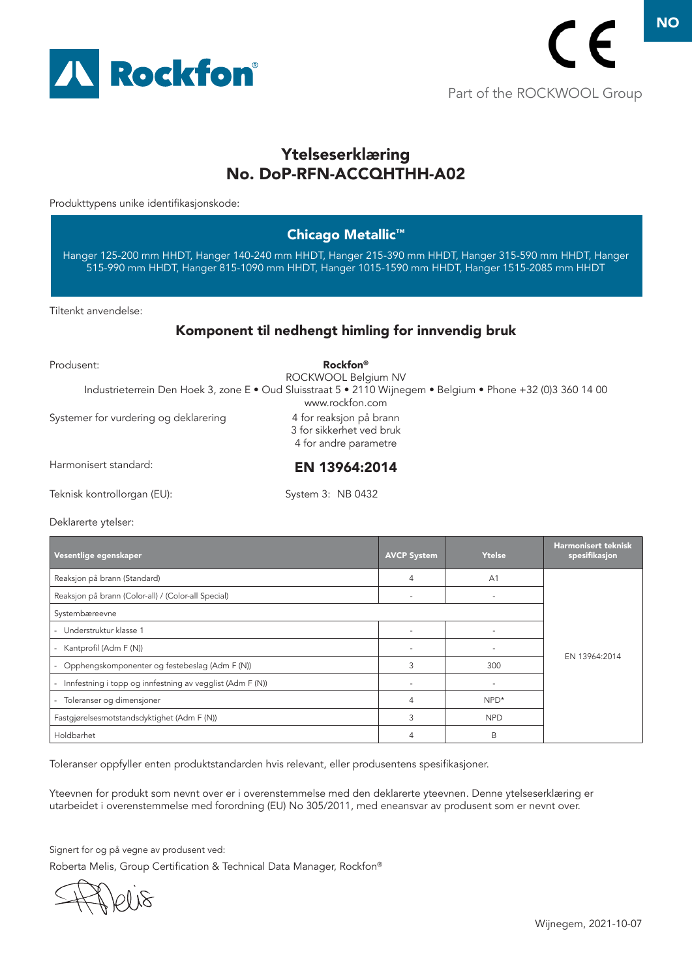

# Ytelseserklæring No. DoP-RFN-ACCQHTHH-A02

Produkttypens unike identifikasjonskode:

### Chicago Metallic™

Hanger 125-200 mm HHDT, Hanger 140-240 mm HHDT, Hanger 215-390 mm HHDT, Hanger 315-590 mm HHDT, Hanger 515-990 mm HHDT, Hanger 815-1090 mm HHDT, Hanger 1015-1590 mm HHDT, Hanger 1515-2085 mm HHDT

Tiltenkt anvendelse:

### Komponent til nedhengt himling for innvendig bruk

| Produsent:                            | Rockfon <sup>®</sup><br>ROCKWOOL Belgium NV<br>Industrieterrein Den Hoek 3, zone E · Oud Sluisstraat 5 · 2110 Wijnegem · Belgium · Phone +32 (0)3 360 14 00<br>www.rockfon.com |
|---------------------------------------|--------------------------------------------------------------------------------------------------------------------------------------------------------------------------------|
| Systemer for vurdering og deklarering | 4 for reaksjon på brann<br>3 for sikkerhet ved bruk<br>4 for andre parametre                                                                                                   |
| Harmonisert standard:                 | EN 13964:2014                                                                                                                                                                  |
| Teknisk kontrollorgan (EU):           | System 3: NB 0432                                                                                                                                                              |

Deklarerte ytelser:

| Vesentlige egenskaper                                               | <b>AVCP System</b>       | Ytelse                   | <b>Harmonisert teknisk</b><br>spesifikasjon |
|---------------------------------------------------------------------|--------------------------|--------------------------|---------------------------------------------|
| Reaksjon på brann (Standard)                                        | 4                        | A <sub>1</sub>           |                                             |
| Reaksjon på brann (Color-all) / (Color-all Special)                 | $\overline{\phantom{a}}$ | $\overline{\phantom{a}}$ |                                             |
| Systembæreevne                                                      |                          |                          |                                             |
| - Understruktur klasse 1                                            |                          |                          | EN 13964:2014                               |
| - Kantprofil (Adm F (N))                                            |                          |                          |                                             |
| - Opphengskomponenter og festebeslag (Adm F (N))                    | 3                        | 300                      |                                             |
| Innfestning i topp og innfestning av vegglist (Adm F (N))<br>$\sim$ |                          |                          |                                             |
| - Toleranser og dimensjoner                                         | 4                        | NPD*                     |                                             |
| Fastgjørelsesmotstandsdyktighet (Adm F (N))                         | 3                        | <b>NPD</b>               |                                             |
| Holdbarhet                                                          | 4                        | B                        |                                             |

Toleranser oppfyller enten produktstandarden hvis relevant, eller produsentens spesifikasjoner.

Yteevnen for produkt som nevnt over er i overenstemmelse med den deklarerte yteevnen. Denne ytelseserklæring er utarbeidet i overenstemmelse med forordning (EU) No 305/2011, med eneansvar av produsent som er nevnt over.

Signert for og på vegne av produsent ved:

10118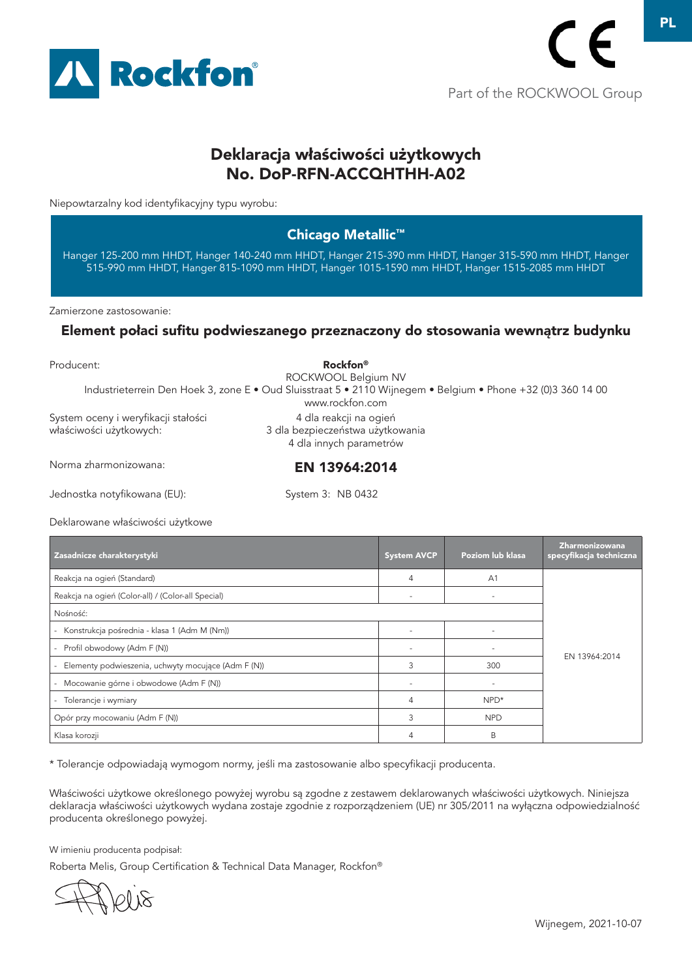

# Deklaracja właściwości użytkowych No. DoP-RFN-ACCQHTHH-A02

Niepowtarzalny kod identyfikacyjny typu wyrobu:

### Chicago Metallic™

Hanger 125-200 mm HHDT, Hanger 140-240 mm HHDT, Hanger 215-390 mm HHDT, Hanger 315-590 mm HHDT, Hanger 515-990 mm HHDT, Hanger 815-1090 mm HHDT, Hanger 1015-1590 mm HHDT, Hanger 1515-2085 mm HHDT

Zamierzone zastosowanie:

#### Element połaci sufitu podwieszanego przeznaczony do stosowania wewnątrz budynku

| Producent:                                                     | <b>Rockfon</b> <sup>®</sup><br>ROCKWOOL Belgium NV                                                                              |  |
|----------------------------------------------------------------|---------------------------------------------------------------------------------------------------------------------------------|--|
|                                                                | Industrieterrein Den Hoek 3, zone E • Oud Sluisstraat 5 • 2110 Wijnegem • Belgium • Phone +32 (0)3 360 14 00<br>www.rockfon.com |  |
| System oceny i weryfikacji stałości<br>właściwości użytkowych: | 4 dla reakcji na ogień<br>3 dla bezpieczeństwa użytkowania<br>4 dla innych parametrów                                           |  |
| Norma zharmonizowana:                                          | EN 13964:2014                                                                                                                   |  |
| Jednostka notyfikowana (EU):                                   | System 3: NB 0432                                                                                                               |  |

Deklarowane właściwości użytkowe

| Zasadnicze charakterystyki                            | <b>System AVCP</b>       | Poziom lub klasa         | Zharmonizowana<br>specyfikacja techniczna |
|-------------------------------------------------------|--------------------------|--------------------------|-------------------------------------------|
| Reakcja na ogień (Standard)                           | 4                        | A <sub>1</sub>           |                                           |
| Reakcja na ogień (Color-all) / (Color-all Special)    |                          |                          |                                           |
| Nośność:                                              |                          |                          |                                           |
| Konstrukcja pośrednia - klasa 1 (Adm M (Nm))          |                          |                          |                                           |
| - Profil obwodowy (Adm F (N))                         |                          | $\overline{\phantom{a}}$ |                                           |
| - Elementy podwieszenia, uchwyty mocujące (Adm F (N)) | 3                        | 300                      | EN 13964:2014                             |
| - Mocowanie górne i obwodowe (Adm F (N))              | $\overline{\phantom{m}}$ | $\overline{\phantom{a}}$ |                                           |
| Tolerancje i wymiary                                  | 4                        | NPD*                     |                                           |
| Opór przy mocowaniu (Adm F (N))                       | 3                        | <b>NPD</b>               |                                           |
| Klasa korozji                                         | 4                        | B                        |                                           |

\* Tolerancje odpowiadają wymogom normy, jeśli ma zastosowanie albo specyfikacji producenta.

Właściwości użytkowe określonego powyżej wyrobu są zgodne z zestawem deklarowanych właściwości użytkowych. Niniejsza deklaracja właściwości użytkowych wydana zostaje zgodnie z rozporządzeniem (UE) nr 305/2011 na wyłączna odpowiedzialność producenta określonego powyżej.

W imieniu producenta podpisał:

10 IS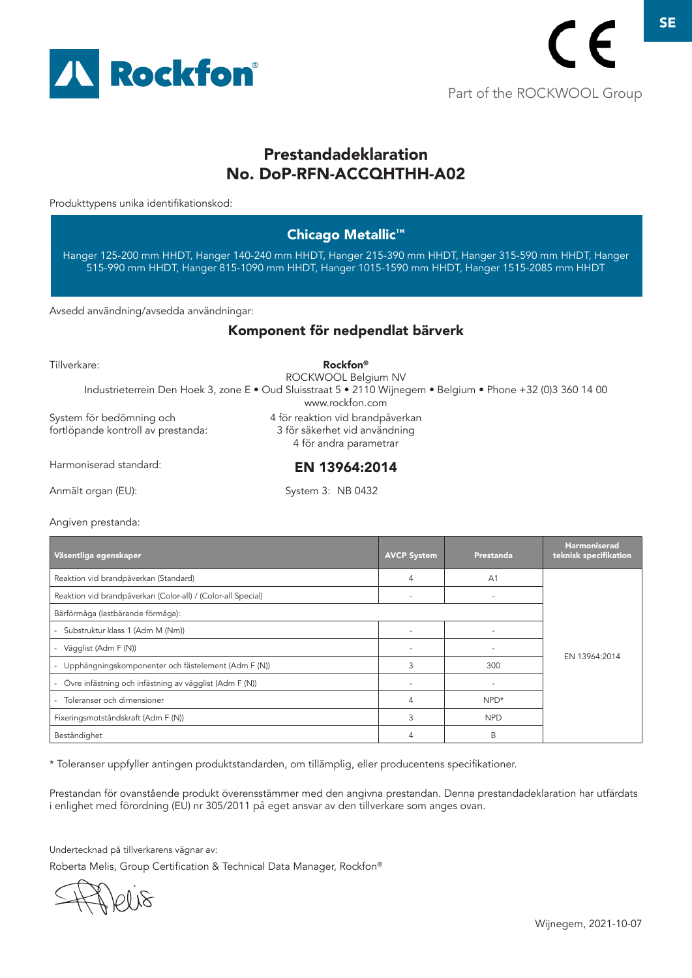

# Prestandadeklaration No. DoP-RFN-ACCQHTHH-A02

Produkttypens unika identifikationskod:

### Chicago Metallic™

Hanger 125-200 mm HHDT, Hanger 140-240 mm HHDT, Hanger 215-390 mm HHDT, Hanger 315-590 mm HHDT, Hanger 515-990 mm HHDT, Hanger 815-1090 mm HHDT, Hanger 1015-1590 mm HHDT, Hanger 1515-2085 mm HHDT

Avsedd användning/avsedda användningar:

#### Komponent för nedpendlat bärverk

| Tillverkare:                                                   | Rockfon <sup>®</sup>                                                                                                                                   |  |
|----------------------------------------------------------------|--------------------------------------------------------------------------------------------------------------------------------------------------------|--|
|                                                                | ROCKWOOL Belgium NV<br>Industrieterrein Den Hoek 3, zone E · Oud Sluisstraat 5 · 2110 Wijnegem · Belgium · Phone +32 (0)3 360 14 00<br>www.rockfon.com |  |
| System för bedömning och<br>fortlöpande kontroll av prestanda: | 4 för reaktion vid brandpåverkan<br>3 för säkerhet vid användning<br>4 för andra parametrar                                                            |  |
| Harmoniserad standard:                                         | EN 13964:2014                                                                                                                                          |  |
| Anmält organ (EU):                                             | System 3: NB 0432                                                                                                                                      |  |

Angiven prestanda:

| Väsentliga egenskaper                                        | <b>AVCP System</b>       | Prestanda                | <b>Harmoniserad</b><br>teknisk specifikation |
|--------------------------------------------------------------|--------------------------|--------------------------|----------------------------------------------|
| Reaktion vid brandpåverkan (Standard)                        | 4                        | A <sub>1</sub>           |                                              |
| Reaktion vid brandpåverkan (Color-all) / (Color-all Special) | $\overline{\phantom{a}}$ |                          |                                              |
| Bärförmåga (lastbärande förmåga):                            |                          |                          |                                              |
| Substruktur klass 1 (Adm M (Nm))<br>$\overline{\phantom{0}}$ | ٠                        |                          |                                              |
| Vägglist (Adm F (N))                                         |                          |                          |                                              |
| Upphängningskomponenter och fästelement (Adm F (N))          | 3                        | 300                      | EN 13964:2014                                |
| Övre infästning och infästning av vägglist (Adm F (N))       |                          | $\overline{\phantom{a}}$ |                                              |
| Toleranser och dimensioner                                   | 4                        | $NPD*$                   |                                              |
| Fixeringsmotståndskraft (Adm F (N))                          | 3                        | <b>NPD</b>               |                                              |
| Beständighet                                                 | 4                        | B                        |                                              |

\* Toleranser uppfyller antingen produktstandarden, om tillämplig, eller producentens specifikationer.

Prestandan för ovanstående produkt överensstämmer med den angivna prestandan. Denna prestandadeklaration har utfärdats i enlighet med förordning (EU) nr 305/2011 på eget ansvar av den tillverkare som anges ovan.

Undertecknad på tillverkarens vägnar av:

10 IS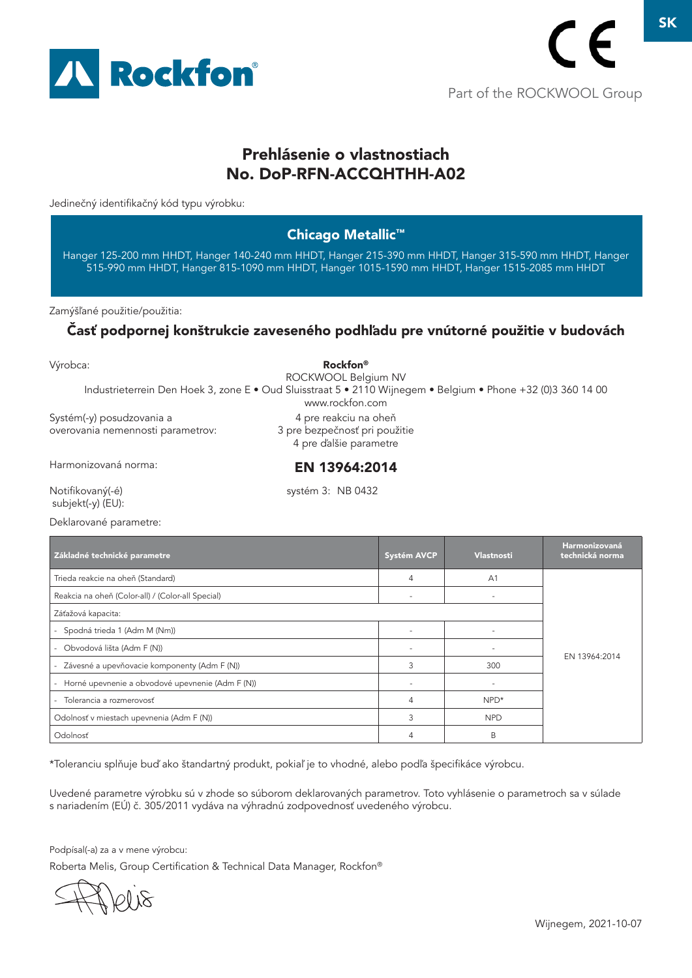

# Prehlásenie o vlastnostiach No. DoP-RFN-ACCQHTHH-A02

Jedinečný identifikačný kód typu výrobku:

### Chicago Metallic™

Hanger 125-200 mm HHDT, Hanger 140-240 mm HHDT, Hanger 215-390 mm HHDT, Hanger 315-590 mm HHDT, Hanger 515-990 mm HHDT, Hanger 815-1090 mm HHDT, Hanger 1015-1590 mm HHDT, Hanger 1515-2085 mm HHDT

Zamýšľané použitie/použitia:

### Časť podpornej konštrukcie zaveseného podhľadu pre vnútorné použitie v budovách

| Výrobca:<br>Industrieterrein Den Hoek 3, zone E · Oud Sluisstraat 5 · 2110 Wijnegem · Belgium · Phone +32 (0)3 360 14 00 | Rockfon®<br>ROCKWOOL Belgium NV<br>www.rockfon.com                                |                    |            |                                  |
|--------------------------------------------------------------------------------------------------------------------------|-----------------------------------------------------------------------------------|--------------------|------------|----------------------------------|
| Systém(-y) posudzovania a<br>overovania nemennosti parametrov:                                                           | 4 pre reakciu na oheň<br>3 pre bezpečnosť pri použitie<br>4 pre d'alšie parametre |                    |            |                                  |
| Harmonizovaná norma:                                                                                                     | EN 13964:2014                                                                     |                    |            |                                  |
| Notifikovaný(-é)<br>subjekt(-y) (EU):                                                                                    | systém 3: NB 0432                                                                 |                    |            |                                  |
| Deklarované parametre:                                                                                                   |                                                                                   |                    |            |                                  |
| Základné technické parametre                                                                                             |                                                                                   | <b>Systém AVCP</b> | Vlastnosti | Harmonizovaná<br>technická norma |

| Základné technické parametre                       | <b>Systém AVCP</b> | <b>Vlastnosti</b>        | TERRITORIZOVEREI<br>technická norma |
|----------------------------------------------------|--------------------|--------------------------|-------------------------------------|
| Trieda reakcie na oheň (Standard)                  | 4                  | A <sub>1</sub>           |                                     |
| Reakcia na oheň (Color-all) / (Color-all Special)  |                    |                          |                                     |
| Záťažová kapacita:                                 |                    |                          |                                     |
| Spodná trieda 1 (Adm M (Nm))                       |                    |                          |                                     |
| - Obvodová lišta (Adm F (N))                       |                    |                          |                                     |
| - Závesné a upevňovacie komponenty (Adm F (N))     | 3                  | 300                      | EN 13964:2014                       |
| - Horné upevnenie a obvodové upevnenie (Adm F (N)) |                    | $\overline{\phantom{a}}$ |                                     |
| - Tolerancia a rozmerovosť                         |                    | $NPD*$                   |                                     |
| Odolnosť v miestach upevnenia (Adm F (N))          | 3                  | <b>NPD</b>               |                                     |
| Odolnosť                                           |                    | B                        |                                     |

\*Toleranciu splňuje buď ako štandartný produkt, pokiaľ je to vhodné, alebo podľa špecifikáce výrobcu.

Uvedené parametre výrobku sú v zhode so súborom deklarovaných parametrov. Toto vyhlásenie o parametroch sa v súlade s nariadením (EÚ) č. 305/2011 vydáva na výhradnú zodpovednosť uvedeného výrobcu.

Podpísal(-a) za a v mene výrobcu:

1018